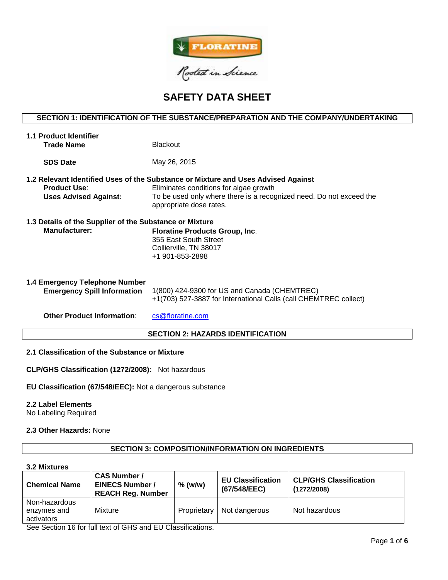

# **SAFETY DATA SHEET**

# **SECTION 1: IDENTIFICATION OF THE SUBSTANCE/PREPARATION AND THE COMPANY/UNDERTAKING**

| May 26, 2015<br><b>SDS Date</b><br>1.2 Relevant Identified Uses of the Substance or Mixture and Uses Advised Against<br>Eliminates conditions for algae growth<br><b>Product Use:</b><br>To be used only where there is a recognized need. Do not exceed the<br><b>Uses Advised Against:</b><br>appropriate dose rates.<br>1.3 Details of the Supplier of the Substance or Mixture<br><b>Manufacturer:</b><br><b>Floratine Products Group, Inc.</b><br>355 East South Street<br>Collierville, TN 38017<br>+1 901-853-2898<br>1.4 Emergency Telephone Number<br>1(800) 424-9300 for US and Canada (CHEMTREC)<br><b>Emergency Spill Information</b><br>+1(703) 527-3887 for International Calls (call CHEMTREC collect) | 1.1 Product Identifier<br><b>Trade Name</b> | <b>Blackout</b>  |  |  |  |
|-----------------------------------------------------------------------------------------------------------------------------------------------------------------------------------------------------------------------------------------------------------------------------------------------------------------------------------------------------------------------------------------------------------------------------------------------------------------------------------------------------------------------------------------------------------------------------------------------------------------------------------------------------------------------------------------------------------------------|---------------------------------------------|------------------|--|--|--|
|                                                                                                                                                                                                                                                                                                                                                                                                                                                                                                                                                                                                                                                                                                                       |                                             |                  |  |  |  |
|                                                                                                                                                                                                                                                                                                                                                                                                                                                                                                                                                                                                                                                                                                                       |                                             |                  |  |  |  |
|                                                                                                                                                                                                                                                                                                                                                                                                                                                                                                                                                                                                                                                                                                                       |                                             |                  |  |  |  |
|                                                                                                                                                                                                                                                                                                                                                                                                                                                                                                                                                                                                                                                                                                                       |                                             |                  |  |  |  |
|                                                                                                                                                                                                                                                                                                                                                                                                                                                                                                                                                                                                                                                                                                                       |                                             |                  |  |  |  |
|                                                                                                                                                                                                                                                                                                                                                                                                                                                                                                                                                                                                                                                                                                                       |                                             |                  |  |  |  |
|                                                                                                                                                                                                                                                                                                                                                                                                                                                                                                                                                                                                                                                                                                                       | <b>Other Product Information:</b>           | cs@floratine.com |  |  |  |

# **SECTION 2: HAZARDS IDENTIFICATION**

# **2.1 Classification of the Substance or Mixture**

**CLP/GHS Classification (1272/2008):** Not hazardous

**EU Classification (67/548/EEC):** Not a dangerous substance

## **2.2 Label Elements**

No Labeling Required

# **2.3 Other Hazards:** None

# **SECTION 3: COMPOSITION/INFORMATION ON INGREDIENTS**

# **3.2 Mixtures**

| <b>Chemical Name</b>                       | <b>CAS Number /</b><br><b>EINECS Number /</b><br><b>REACH Reg. Number</b> | $%$ (w/w)   | <b>EU Classification</b><br>(67/548/EEC) | <b>CLP/GHS Classification</b><br>(1272/2008) |
|--------------------------------------------|---------------------------------------------------------------------------|-------------|------------------------------------------|----------------------------------------------|
| Non-hazardous<br>enzymes and<br>activators | Mixture                                                                   | Proprietary | Not dangerous                            | Not hazardous                                |

See Section 16 for full text of GHS and EU Classifications.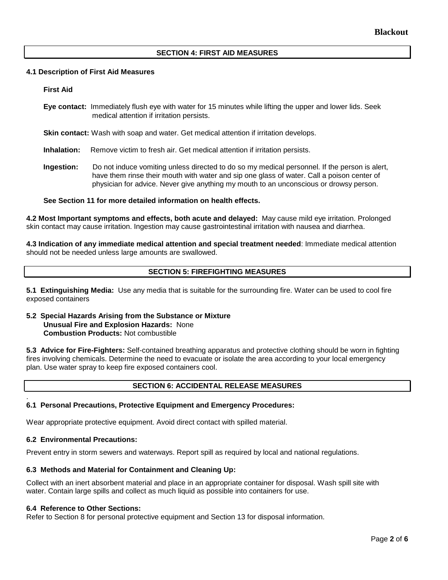# **SECTION 4: FIRST AID MEASURES**

## **4.1 Description of First Aid Measures**

## **First Aid**

- **Eye contact:** Immediately flush eye with water for 15 minutes while lifting the upper and lower lids. Seek medical attention if irritation persists.
- **Skin contact:** Wash with soap and water. Get medical attention if irritation develops.
- **Inhalation:** Remove victim to fresh air. Get medical attention if irritation persists.
- **Ingestion:** Do not induce vomiting unless directed to do so my medical personnel. If the person is alert, have them rinse their mouth with water and sip one glass of water. Call a poison center of physician for advice. Never give anything my mouth to an unconscious or drowsy person.

## **See Section 11 for more detailed information on health effects.**

**4.2 Most Important symptoms and effects, both acute and delayed:** May cause mild eye irritation. Prolonged skin contact may cause irritation. Ingestion may cause gastrointestinal irritation with nausea and diarrhea.

**4.3 Indication of any immediate medical attention and special treatment needed**: Immediate medical attention should not be needed unless large amounts are swallowed.

# **SECTION 5: FIREFIGHTING MEASURES**

**5.1 Extinguishing Media:** Use any media that is suitable for the surrounding fire. Water can be used to cool fire exposed containers

## **5.2 Special Hazards Arising from the Substance or Mixture Unusual Fire and Explosion Hazards:** None **Combustion Products:** Not combustible

**5.3 Advice for Fire-Fighters:** Self-contained breathing apparatus and protective clothing should be worn in fighting fires involving chemicals. Determine the need to evacuate or isolate the area according to your local emergency plan. Use water spray to keep fire exposed containers cool.

# **SECTION 6: ACCIDENTAL RELEASE MEASURES**

#### . **6.1 Personal Precautions, Protective Equipment and Emergency Procedures:**

Wear appropriate protective equipment. Avoid direct contact with spilled material.

### **6.2 Environmental Precautions:**

Prevent entry in storm sewers and waterways. Report spill as required by local and national regulations.

# **6.3 Methods and Material for Containment and Cleaning Up:**

Collect with an inert absorbent material and place in an appropriate container for disposal. Wash spill site with water. Contain large spills and collect as much liquid as possible into containers for use.

### **6.4 Reference to Other Sections:**

Refer to Section 8 for personal protective equipment and Section 13 for disposal information.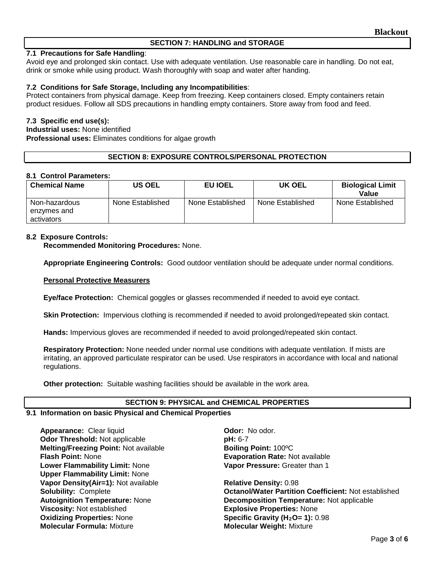# **SECTION 7: HANDLING and STORAGE**

# **7.1 Precautions for Safe Handling**:

Avoid eye and prolonged skin contact. Use with adequate ventilation. Use reasonable care in handling. Do not eat, drink or smoke while using product. Wash thoroughly with soap and water after handing.

# **7.2 Conditions for Safe Storage, Including any Incompatibilities**:

Protect containers from physical damage. Keep from freezing. Keep containers closed. Empty containers retain product residues. Follow all SDS precautions in handling empty containers. Store away from food and feed.

# **7.3 Specific end use(s):**

**Industrial uses:** None identified

**Professional uses:** Eliminates conditions for algae growth

# **SECTION 8: EXPOSURE CONTROLS/PERSONAL PROTECTION**

## **8.1 Control Parameters:**

| <b>Chemical Name</b>                       | <b>US OEL</b>    | EU IOEL          | UK OEL           | <b>Biological Limit</b><br>Value |
|--------------------------------------------|------------------|------------------|------------------|----------------------------------|
| Non-hazardous<br>enzymes and<br>activators | None Established | None Established | None Established | None Established                 |

# **8.2 Exposure Controls:**

**Recommended Monitoring Procedures:** None.

**Appropriate Engineering Controls:** Good outdoor ventilation should be adequate under normal conditions.

## **Personal Protective Measurers**

**Eye/face Protection:** Chemical goggles or glasses recommended if needed to avoid eye contact.

**Skin Protection:** Impervious clothing is recommended if needed to avoid prolonged/repeated skin contact.

**Hands:** Impervious gloves are recommended if needed to avoid prolonged/repeated skin contact.

**Respiratory Protection:** None needed under normal use conditions with adequate ventilation. If mists are irritating, an approved particulate respirator can be used. Use respirators in accordance with local and national regulations.

**Other protection:** Suitable washing facilities should be available in the work area.

# **SECTION 9: PHYSICAL and CHEMICAL PROPERTIES**

### **9.1 Information on basic Physical and Chemical Properties**

**Appearance:** Clear liquid **Container Container Container Container Odor:** No odor.<br> **Odor Threshold:** Not applicable **Container Container Profit Container** Profit Container Profit Container Profit **Odor Threshold: Not applicable Melting/Freezing Point: Not available <b>Boiling Point:** 100°C **Flash Point:** None **Evaporation Rate:** Not available **Lower Flammability Limit:** None **Upper Flammability Limit:** None **Vapor Density(Air=1):** Not available **Relative Density:** 0.98<br> **Solubility:** Complete **Relative Solubility: Contrate Partitio Viscosity:** Not established **Explosive Properties:** None **Oxidizing Properties:** None **Specific Gravity (H2O= 1):** 0.98 **Molecular Formula:** Mixture **Molecular Weight:** Mixture

**Vapor Pressure:** Greater than 1

**Octanol/Water Partition Coefficient: Not established Autoignition Temperature:** None **Decomposition Temperature:** Not applicable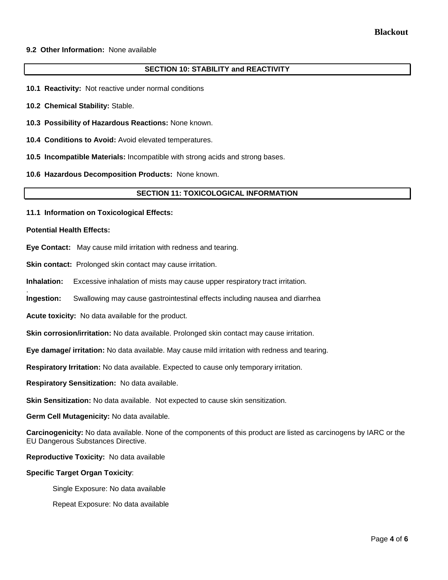## **9.2 Other Information:** None available

## **SECTION 10: STABILITY and REACTIVITY**

- **10.1 Reactivity:** Not reactive under normal conditions
- **10.2 Chemical Stability:** Stable.
- **10.3 Possibility of Hazardous Reactions:** None known.
- **10.4 Conditions to Avoid:** Avoid elevated temperatures.
- **10.5 Incompatible Materials:** Incompatible with strong acids and strong bases.
- **10.6 Hazardous Decomposition Products:** None known.

## **SECTION 11: TOXICOLOGICAL INFORMATION**

**11.1 Information on Toxicological Effects:** 

#### **Potential Health Effects:**

.

**Eye Contact:** May cause mild irritation with redness and tearing.

**Skin contact:** Prolonged skin contact may cause irritation.

**Inhalation:** Excessive inhalation of mists may cause upper respiratory tract irritation.

**Ingestion:** Swallowing may cause gastrointestinal effects including nausea and diarrhea

**Acute toxicity:** No data available for the product.

**Skin corrosion/irritation:** No data available. Prolonged skin contact may cause irritation.

**Eye damage/ irritation:** No data available. May cause mild irritation with redness and tearing.

**Respiratory Irritation:** No data available. Expected to cause only temporary irritation.

**Respiratory Sensitization:** No data available.

**Skin Sensitization:** No data available. Not expected to cause skin sensitization.

**Germ Cell Mutagenicity:** No data available.

**Carcinogenicity:** No data available. None of the components of this product are listed as carcinogens by IARC or the EU Dangerous Substances Directive.

**Reproductive Toxicity:** No data available

### **Specific Target Organ Toxicity**:

Single Exposure: No data available

Repeat Exposure: No data available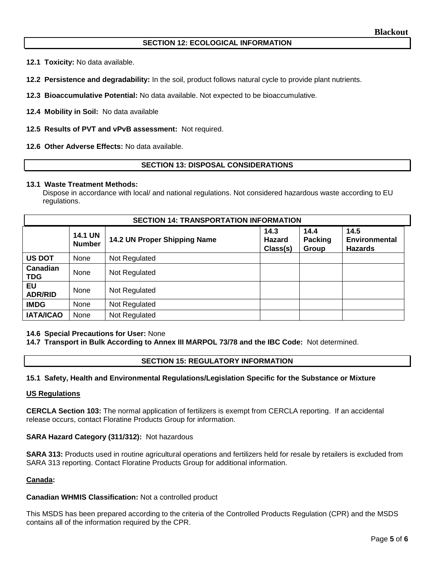# **SECTION 12: ECOLOGICAL INFORMATION**

**12.1 Toxicity:** No data available.

**12.2 Persistence and degradability:** In the soil, product follows natural cycle to provide plant nutrients.

**12.3 Bioaccumulative Potential:** No data available. Not expected to be bioaccumulative.

**12.4 Mobility in Soil:** No data available

**12.5 Results of PVT and vPvB assessment:** Not required.

**12.6 Other Adverse Effects:** No data available.

# **SECTION 13: DISPOSAL CONSIDERATIONS**

### **13.1 Waste Treatment Methods:**

Dispose in accordance with local/ and national regulations. Not considered hazardous waste according to EU regulations.

| <b>SECTION 14: TRANSPORTATION INFORMATION</b> |                                 |                              |                            |                                 |                                                |
|-----------------------------------------------|---------------------------------|------------------------------|----------------------------|---------------------------------|------------------------------------------------|
|                                               | <b>14.1 UN</b><br><b>Number</b> | 14.2 UN Proper Shipping Name | 14.3<br>Hazard<br>Class(s) | 14.4<br><b>Packing</b><br>Group | 14.5<br><b>Environmental</b><br><b>Hazards</b> |
| <b>US DOT</b>                                 | <b>None</b>                     | Not Regulated                |                            |                                 |                                                |
| Canadian<br><b>TDG</b>                        | None                            | Not Regulated                |                            |                                 |                                                |
| EU<br><b>ADR/RID</b>                          | None                            | Not Regulated                |                            |                                 |                                                |
| <b>IMDG</b>                                   | <b>None</b>                     | Not Regulated                |                            |                                 |                                                |
| <b>IATA/ICAO</b>                              | None                            | Not Regulated                |                            |                                 |                                                |

## **14.6 Special Precautions for User:** None

**14.7 Transport in Bulk According to Annex III MARPOL 73/78 and the IBC Code:** Not determined.

### **SECTION 15: REGULATORY INFORMATION**

## **15.1 Safety, Health and Environmental Regulations/Legislation Specific for the Substance or Mixture**

#### **US Regulations**

**CERCLA Section 103:** The normal application of fertilizers is exempt from CERCLA reporting. If an accidental release occurs, contact Floratine Products Group for information.

### **SARA Hazard Category (311/312):** Not hazardous

**SARA 313:** Products used in routine agricultural operations and fertilizers held for resale by retailers is excluded from SARA 313 reporting. Contact Floratine Products Group for additional information.

## **Canada:**

### **Canadian WHMIS Classification:** Not a controlled product

This MSDS has been prepared according to the criteria of the Controlled Products Regulation (CPR) and the MSDS contains all of the information required by the CPR.